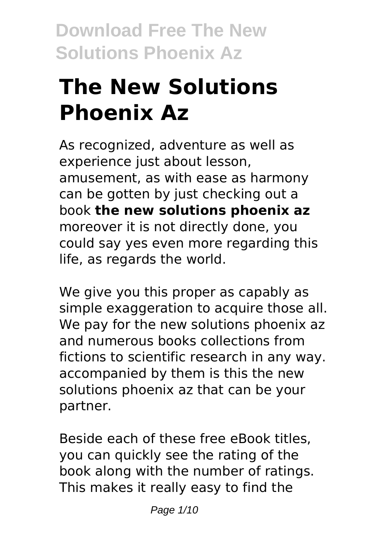# **The New Solutions Phoenix Az**

As recognized, adventure as well as experience just about lesson, amusement, as with ease as harmony can be gotten by just checking out a book **the new solutions phoenix az** moreover it is not directly done, you could say yes even more regarding this life, as regards the world.

We give you this proper as capably as simple exaggeration to acquire those all. We pay for the new solutions phoenix az and numerous books collections from fictions to scientific research in any way. accompanied by them is this the new solutions phoenix az that can be your partner.

Beside each of these free eBook titles, you can quickly see the rating of the book along with the number of ratings. This makes it really easy to find the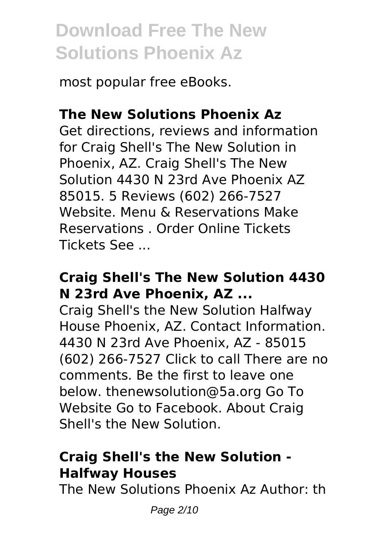most popular free eBooks.

### **The New Solutions Phoenix Az**

Get directions, reviews and information for Craig Shell's The New Solution in Phoenix, AZ. Craig Shell's The New Solution 4430 N 23rd Ave Phoenix AZ 85015. 5 Reviews (602) 266-7527 Website. Menu & Reservations Make Reservations . Order Online Tickets Tickets See ...

#### **Craig Shell's The New Solution 4430 N 23rd Ave Phoenix, AZ ...**

Craig Shell's the New Solution Halfway House Phoenix, AZ. Contact Information. 4430 N 23rd Ave Phoenix, AZ - 85015 (602) 266-7527 Click to call There are no comments. Be the first to leave one below. thenewsolution@5a.org Go To Website Go to Facebook. About Craig Shell's the New Solution.

### **Craig Shell's the New Solution - Halfway Houses**

The New Solutions Phoenix Az Author: th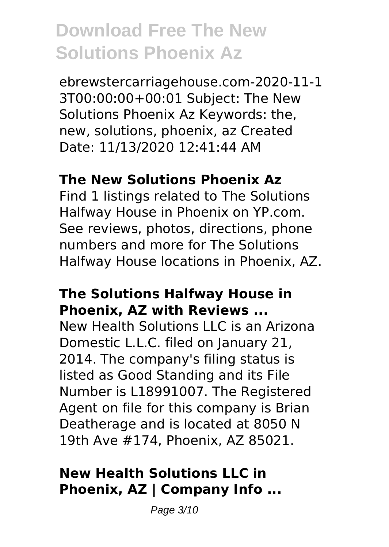ebrewstercarriagehouse.com-2020-11-1 3T00:00:00+00:01 Subject: The New Solutions Phoenix Az Keywords: the, new, solutions, phoenix, az Created Date: 11/13/2020 12:41:44 AM

#### **The New Solutions Phoenix Az**

Find 1 listings related to The Solutions Halfway House in Phoenix on YP.com. See reviews, photos, directions, phone numbers and more for The Solutions Halfway House locations in Phoenix, AZ.

#### **The Solutions Halfway House in Phoenix, AZ with Reviews ...**

New Health Solutions LLC is an Arizona Domestic L.L.C. filed on January 21, 2014. The company's filing status is listed as Good Standing and its File Number is L18991007. The Registered Agent on file for this company is Brian Deatherage and is located at 8050 N 19th Ave #174, Phoenix, AZ 85021.

### **New Health Solutions LLC in Phoenix, AZ | Company Info ...**

Page 3/10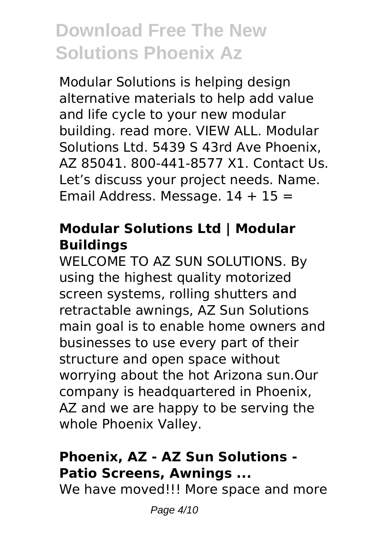Modular Solutions is helping design alternative materials to help add value and life cycle to your new modular building. read more. VIEW ALL. Modular Solutions Ltd. 5439 S 43rd Ave Phoenix, AZ 85041. 800-441-8577 X1. Contact Us. Let's discuss your project needs. Name. Email Address. Message.  $14 + 15 =$ 

#### **Modular Solutions Ltd | Modular Buildings**

WELCOME TO AZ SUN SOLUTIONS. By using the highest quality motorized screen systems, rolling shutters and retractable awnings, AZ Sun Solutions main goal is to enable home owners and businesses to use every part of their structure and open space without worrying about the hot Arizona sun.Our company is headquartered in Phoenix, AZ and we are happy to be serving the whole Phoenix Valley.

### **Phoenix, AZ - AZ Sun Solutions - Patio Screens, Awnings ...**

We have moved!!! More space and more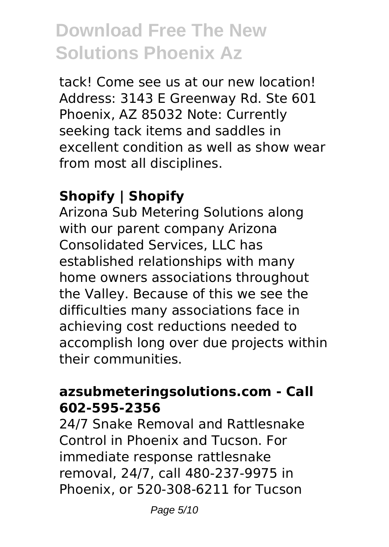tack! Come see us at our new location! Address: 3143 E Greenway Rd. Ste 601 Phoenix, AZ 85032 Note: Currently seeking tack items and saddles in excellent condition as well as show wear from most all disciplines.

### **Shopify | Shopify**

Arizona Sub Metering Solutions along with our parent company Arizona Consolidated Services, LLC has established relationships with many home owners associations throughout the Valley. Because of this we see the difficulties many associations face in achieving cost reductions needed to accomplish long over due projects within their communities.

#### **azsubmeteringsolutions.com - Call 602-595-2356**

24/7 Snake Removal and Rattlesnake Control in Phoenix and Tucson. For immediate response rattlesnake removal, 24/7, call 480-237-9975 in Phoenix, or 520-308-6211 for Tucson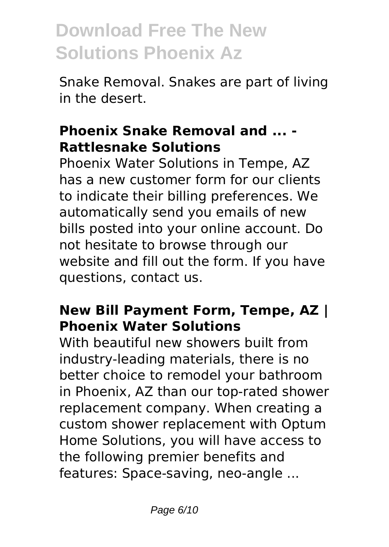Snake Removal. Snakes are part of living in the desert.

#### **Phoenix Snake Removal and ... - Rattlesnake Solutions**

Phoenix Water Solutions in Tempe, AZ has a new customer form for our clients to indicate their billing preferences. We automatically send you emails of new bills posted into your online account. Do not hesitate to browse through our website and fill out the form. If you have questions, contact us.

### **New Bill Payment Form, Tempe, AZ | Phoenix Water Solutions**

With beautiful new showers built from industry-leading materials, there is no better choice to remodel your bathroom in Phoenix, AZ than our top-rated shower replacement company. When creating a custom shower replacement with Optum Home Solutions, you will have access to the following premier benefits and features: Space-saving, neo-angle ...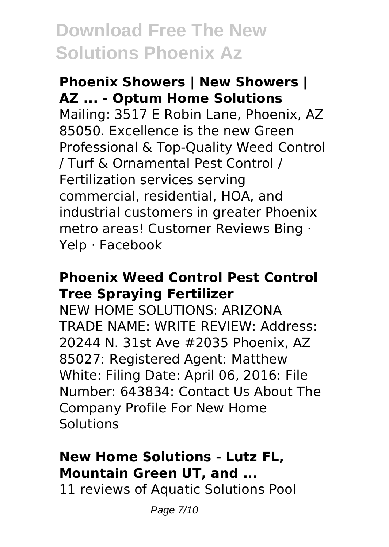#### **Phoenix Showers | New Showers | AZ ... - Optum Home Solutions**

Mailing: 3517 E Robin Lane, Phoenix, AZ 85050. Excellence is the new Green Professional & Top-Quality Weed Control / Turf & Ornamental Pest Control / Fertilization services serving commercial, residential, HOA, and industrial customers in greater Phoenix metro areas! Customer Reviews Bing · Yelp · Facebook

#### **Phoenix Weed Control Pest Control Tree Spraying Fertilizer**

NEW HOME SOLUTIONS: ARIZONA TRADE NAME: WRITE REVIEW: Address: 20244 N. 31st Ave #2035 Phoenix, AZ 85027: Registered Agent: Matthew White: Filing Date: April 06, 2016: File Number: 643834: Contact Us About The Company Profile For New Home Solutions

### **New Home Solutions - Lutz FL, Mountain Green UT, and ...**

11 reviews of Aquatic Solutions Pool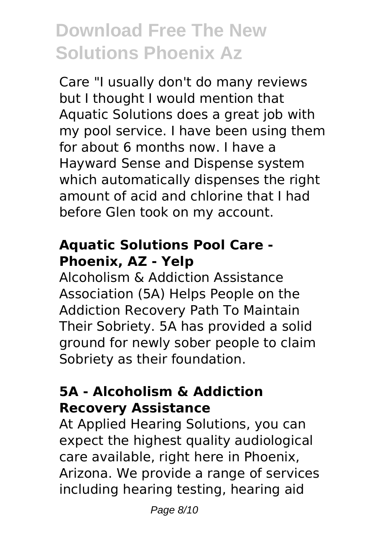Care "I usually don't do many reviews but I thought I would mention that Aquatic Solutions does a great job with my pool service. I have been using them for about 6 months now. I have a Hayward Sense and Dispense system which automatically dispenses the right amount of acid and chlorine that I had before Glen took on my account.

#### **Aquatic Solutions Pool Care - Phoenix, AZ - Yelp**

Alcoholism & Addiction Assistance Association (5A) Helps People on the Addiction Recovery Path To Maintain Their Sobriety. 5A has provided a solid ground for newly sober people to claim Sobriety as their foundation.

#### **5A - Alcoholism & Addiction Recovery Assistance**

At Applied Hearing Solutions, you can expect the highest quality audiological care available, right here in Phoenix, Arizona. We provide a range of services including hearing testing, hearing aid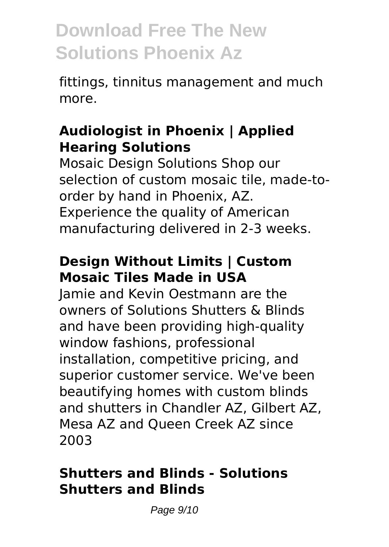fittings, tinnitus management and much more.

#### **Audiologist in Phoenix | Applied Hearing Solutions**

Mosaic Design Solutions Shop our selection of custom mosaic tile, made-toorder by hand in Phoenix, AZ. Experience the quality of American manufacturing delivered in 2-3 weeks.

### **Design Without Limits | Custom Mosaic Tiles Made in USA**

Jamie and Kevin Oestmann are the owners of Solutions Shutters & Blinds and have been providing high-quality window fashions, professional installation, competitive pricing, and superior customer service. We've been beautifying homes with custom blinds and shutters in Chandler AZ, Gilbert AZ, Mesa AZ and Queen Creek AZ since 2003

#### **Shutters and Blinds - Solutions Shutters and Blinds**

Page 9/10